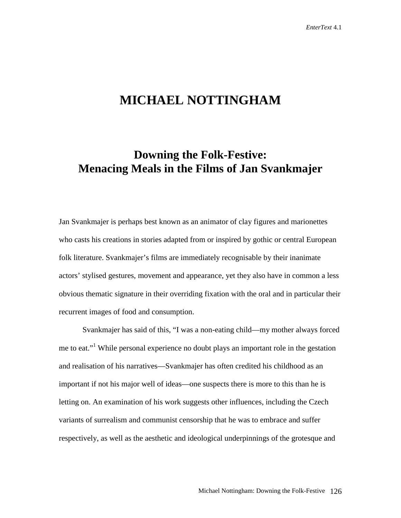# **MICHAEL NOTTINGHAM**

## **Downing the Folk-Festive: Menacing Meals in the Films of Jan Svankmajer**

Jan Svankmajer is perhaps best known as an animator of clay figures and marionettes who casts his creations in stories adapted from or inspired by gothic or central European folk literature. Svankmajer's films are immediately recognisable by their inanimate actors' stylised gestures, movement and appearance, yet they also have in common a less obvious thematic signature in their overriding fixation with the oral and in particular their recurrent images of food and consumption.

Svankmajer has said of this, "I was a non-eating child—my mother always forced me to eat."<sup>1</sup> While personal experience no doubt plays an important role in the gestation and realisation of his narratives—Svankmajer has often credited his childhood as an important if not his major well of ideas—one suspects there is more to this than he is letting on. An examination of his work suggests other influences, including the Czech variants of surrealism and communist censorship that he was to embrace and suffer respectively, as well as the aesthetic and ideological underpinnings of the grotesque and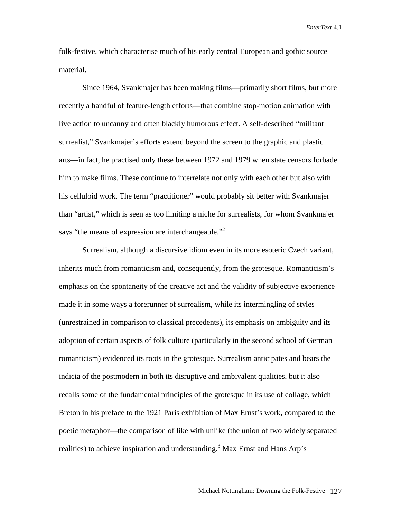folk-festive, which characterise much of his early central European and gothic source material.

Since 1964, Svankmajer has been making films—primarily short films, but more recently a handful of feature-length efforts—that combine stop-motion animation with live action to uncanny and often blackly humorous effect. A self-described "militant surrealist," Svankmajer's efforts extend beyond the screen to the graphic and plastic arts—in fact, he practised only these between 1972 and 1979 when state censors forbade him to make films. These continue to interrelate not only with each other but also with his celluloid work. The term "practitioner" would probably sit better with Svankmajer than "artist," which is seen as too limiting a niche for surrealists, for whom Svankmajer says "the means of expression are interchangeable."<sup>2</sup>

 Surrealism, although a discursive idiom even in its more esoteric Czech variant, inherits much from romanticism and, consequently, from the grotesque. Romanticism's emphasis on the spontaneity of the creative act and the validity of subjective experience made it in some ways a forerunner of surrealism, while its intermingling of styles (unrestrained in comparison to classical precedents), its emphasis on ambiguity and its adoption of certain aspects of folk culture (particularly in the second school of German romanticism) evidenced its roots in the grotesque. Surrealism anticipates and bears the indicia of the postmodern in both its disruptive and ambivalent qualities, but it also recalls some of the fundamental principles of the grotesque in its use of collage, which Breton in his preface to the 1921 Paris exhibition of Max Ernst's work, compared to the poetic metaphor—the comparison of like with unlike (the union of two widely separated realities) to achieve inspiration and understanding.<sup>3</sup> Max Ernst and Hans Arp's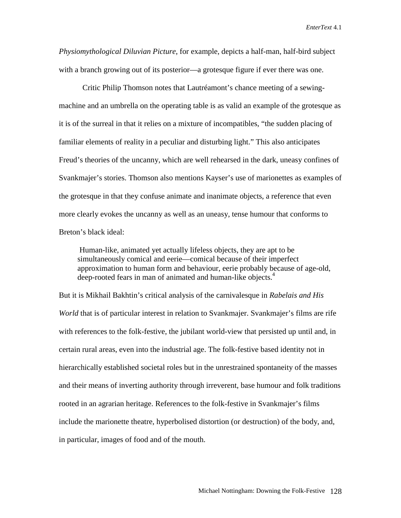*Physiomythological Diluvian Picture*, for example, depicts a half-man, half-bird subject with a branch growing out of its posterior—a grotesque figure if ever there was one.

 Critic Philip Thomson notes that Lautréamont's chance meeting of a sewingmachine and an umbrella on the operating table is as valid an example of the grotesque as it is of the surreal in that it relies on a mixture of incompatibles, "the sudden placing of familiar elements of reality in a peculiar and disturbing light." This also anticipates Freud's theories of the uncanny, which are well rehearsed in the dark, uneasy confines of Svankmajer's stories. Thomson also mentions Kayser's use of marionettes as examples of the grotesque in that they confuse animate and inanimate objects, a reference that even more clearly evokes the uncanny as well as an uneasy, tense humour that conforms to Breton's black ideal:

 Human-like, animated yet actually lifeless objects, they are apt to be simultaneously comical and eerie—comical because of their imperfect approximation to human form and behaviour, eerie probably because of age-old, deep-rooted fears in man of animated and human-like objects.<sup>4</sup>

But it is Mikhail Bakhtin's critical analysis of the carnivalesque in *Rabelais and His World* that is of particular interest in relation to Svankmajer. Svankmajer's films are rife with references to the folk-festive, the jubilant world-view that persisted up until and, in certain rural areas, even into the industrial age. The folk-festive based identity not in hierarchically established societal roles but in the unrestrained spontaneity of the masses and their means of inverting authority through irreverent, base humour and folk traditions rooted in an agrarian heritage. References to the folk-festive in Svankmajer's films include the marionette theatre, hyperbolised distortion (or destruction) of the body, and, in particular, images of food and of the mouth.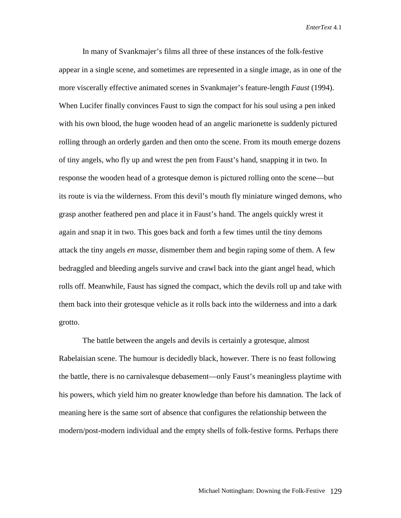In many of Svankmajer's films all three of these instances of the folk-festive appear in a single scene, and sometimes are represented in a single image, as in one of the more viscerally effective animated scenes in Svankmajer's feature-length *Faust* (1994). When Lucifer finally convinces Faust to sign the compact for his soul using a pen inked with his own blood, the huge wooden head of an angelic marionette is suddenly pictured rolling through an orderly garden and then onto the scene. From its mouth emerge dozens of tiny angels, who fly up and wrest the pen from Faust's hand, snapping it in two. In response the wooden head of a grotesque demon is pictured rolling onto the scene—but its route is via the wilderness. From this devil's mouth fly miniature winged demons, who grasp another feathered pen and place it in Faust's hand. The angels quickly wrest it again and snap it in two. This goes back and forth a few times until the tiny demons attack the tiny angels *en masse*, dismember them and begin raping some of them. A few bedraggled and bleeding angels survive and crawl back into the giant angel head, which rolls off. Meanwhile, Faust has signed the compact, which the devils roll up and take with them back into their grotesque vehicle as it rolls back into the wilderness and into a dark grotto.

The battle between the angels and devils is certainly a grotesque, almost Rabelaisian scene. The humour is decidedly black, however. There is no feast following the battle, there is no carnivalesque debasement—only Faust's meaningless playtime with his powers, which yield him no greater knowledge than before his damnation. The lack of meaning here is the same sort of absence that configures the relationship between the modern/post-modern individual and the empty shells of folk-festive forms. Perhaps there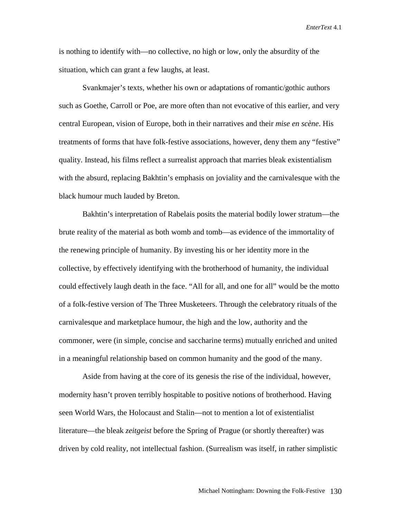is nothing to identify with—no collective, no high or low, only the absurdity of the situation, which can grant a few laughs, at least.

Svankmajer's texts, whether his own or adaptations of romantic/gothic authors such as Goethe, Carroll or Poe, are more often than not evocative of this earlier, and very central European, vision of Europe, both in their narratives and their *mise en scène*. His treatments of forms that have folk-festive associations, however, deny them any "festive" quality. Instead, his films reflect a surrealist approach that marries bleak existentialism with the absurd, replacing Bakhtin's emphasis on joviality and the carnivalesque with the black humour much lauded by Breton.

Bakhtin's interpretation of Rabelais posits the material bodily lower stratum—the brute reality of the material as both womb and tomb—as evidence of the immortality of the renewing principle of humanity. By investing his or her identity more in the collective, by effectively identifying with the brotherhood of humanity, the individual could effectively laugh death in the face. "All for all, and one for all" would be the motto of a folk-festive version of The Three Musketeers. Through the celebratory rituals of the carnivalesque and marketplace humour, the high and the low, authority and the commoner, were (in simple, concise and saccharine terms) mutually enriched and united in a meaningful relationship based on common humanity and the good of the many.

Aside from having at the core of its genesis the rise of the individual, however, modernity hasn't proven terribly hospitable to positive notions of brotherhood. Having seen World Wars, the Holocaust and Stalin—not to mention a lot of existentialist literature—the bleak *zeitgeist* before the Spring of Prague (or shortly thereafter) was driven by cold reality, not intellectual fashion. (Surrealism was itself, in rather simplistic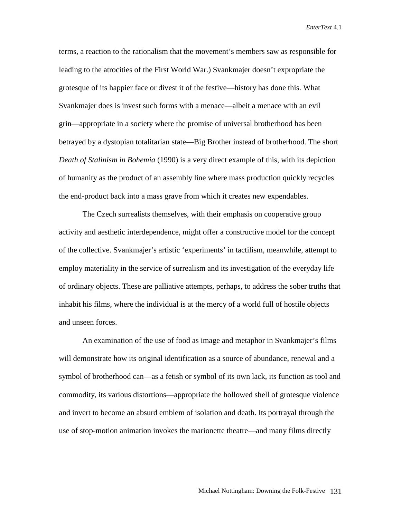terms, a reaction to the rationalism that the movement's members saw as responsible for leading to the atrocities of the First World War.) Svankmajer doesn't expropriate the grotesque of its happier face or divest it of the festive—history has done this. What Svankmajer does is invest such forms with a menace—albeit a menace with an evil grin—appropriate in a society where the promise of universal brotherhood has been betrayed by a dystopian totalitarian state—Big Brother instead of brotherhood. The short *Death of Stalinism in Bohemia* (1990) is a very direct example of this, with its depiction of humanity as the product of an assembly line where mass production quickly recycles the end-product back into a mass grave from which it creates new expendables.

The Czech surrealists themselves, with their emphasis on cooperative group activity and aesthetic interdependence, might offer a constructive model for the concept of the collective. Svankmajer's artistic 'experiments' in tactilism, meanwhile, attempt to employ materiality in the service of surrealism and its investigation of the everyday life of ordinary objects. These are palliative attempts, perhaps, to address the sober truths that inhabit his films, where the individual is at the mercy of a world full of hostile objects and unseen forces.

An examination of the use of food as image and metaphor in Svankmajer's films will demonstrate how its original identification as a source of abundance, renewal and a symbol of brotherhood can—as a fetish or symbol of its own lack, its function as tool and commodity, its various distortions—appropriate the hollowed shell of grotesque violence and invert to become an absurd emblem of isolation and death. Its portrayal through the use of stop-motion animation invokes the marionette theatre—and many films directly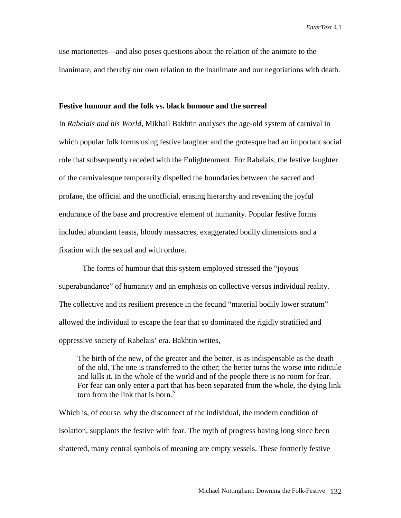use marionettes—and also poses questions about the relation of the animate to the inanimate, and thereby our own relation to the inanimate and our negotiations with death.

### **Festive humour and the folk vs. black humour and the surreal**

In *Rabelais and his World*, Mikhail Bakhtin analyses the age-old system of carnival in which popular folk forms using festive laughter and the grotesque had an important social role that subsequently receded with the Enlightenment. For Rabelais, the festive laughter of the carnivalesque temporarily dispelled the boundaries between the sacred and profane, the official and the unofficial, erasing hierarchy and revealing the joyful endurance of the base and procreative element of humanity. Popular festive forms included abundant feasts, bloody massacres, exaggerated bodily dimensions and a fixation with the sexual and with ordure.

The forms of humour that this system employed stressed the "joyous superabundance" of humanity and an emphasis on collective versus individual reality. The collective and its resilient presence in the fecund "material bodily lower stratum" allowed the individual to escape the fear that so dominated the rigidly stratified and oppressive society of Rabelais' era. Bakhtin writes,

The birth of the new, of the greater and the better, is as indispensable as the death of the old. The one is transferred to the other; the better turns the worse into ridicule and kills it. In the whole of the world and of the people there is no room for fear. For fear can only enter a part that has been separated from the whole, the dying link torn from the link that is born.<sup>5</sup>

Which is, of course, why the disconnect of the individual, the modern condition of isolation, supplants the festive with fear. The myth of progress having long since been shattered, many central symbols of meaning are empty vessels. These formerly festive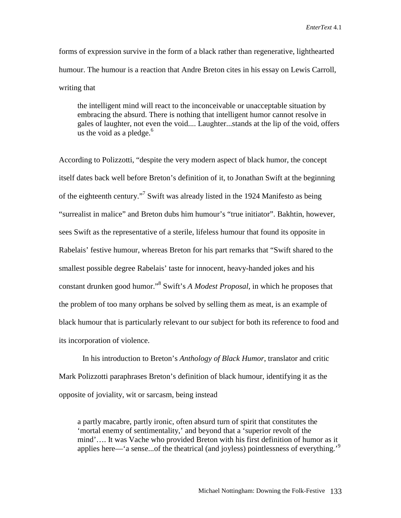forms of expression survive in the form of a black rather than regenerative, lighthearted humour. The humour is a reaction that Andre Breton cites in his essay on Lewis Carroll, writing that

the intelligent mind will react to the inconceivable or unacceptable situation by embracing the absurd. There is nothing that intelligent humor cannot resolve in gales of laughter, not even the void.... Laughter...stands at the lip of the void, offers us the void as a pledge. $^{\circ}$ 

According to Polizzotti, "despite the very modern aspect of black humor, the concept itself dates back well before Breton's definition of it, to Jonathan Swift at the beginning of the eighteenth century."<sup>7</sup> Swift was already listed in the 1924 Manifesto as being "surrealist in malice" and Breton dubs him humour's "true initiator". Bakhtin, however, sees Swift as the representative of a sterile, lifeless humour that found its opposite in Rabelais' festive humour, whereas Breton for his part remarks that "Swift shared to the smallest possible degree Rabelais' taste for innocent, heavy-handed jokes and his constant drunken good humor."8 Swift's *A Modest Proposal*, in which he proposes that the problem of too many orphans be solved by selling them as meat, is an example of black humour that is particularly relevant to our subject for both its reference to food and its incorporation of violence.

In his introduction to Breton's *Anthology of Black Humor*, translator and critic Mark Polizzotti paraphrases Breton's definition of black humour, identifying it as the opposite of joviality, wit or sarcasm, being instead

a partly macabre, partly ironic, often absurd turn of spirit that constitutes the 'mortal enemy of sentimentality,' and beyond that a 'superior revolt of the mind'…. It was Vache who provided Breton with his first definition of humor as it applies here—'a sense...of the theatrical (and joyless) pointlessness of everything.<sup>9</sup>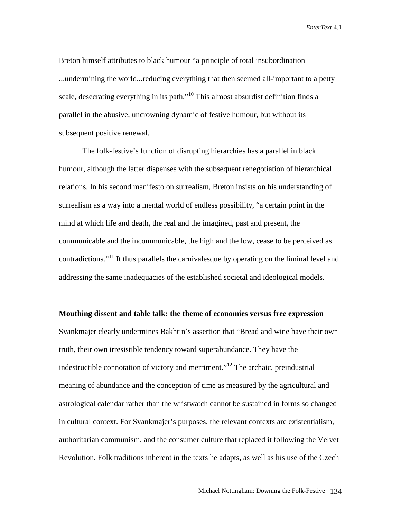Breton himself attributes to black humour "a principle of total insubordination ...undermining the world...reducing everything that then seemed all-important to a petty scale, desecrating everything in its path."<sup>10</sup> This almost absurdist definition finds a parallel in the abusive, uncrowning dynamic of festive humour, but without its subsequent positive renewal.

 The folk-festive's function of disrupting hierarchies has a parallel in black humour, although the latter dispenses with the subsequent renegotiation of hierarchical relations. In his second manifesto on surrealism, Breton insists on his understanding of surrealism as a way into a mental world of endless possibility, "a certain point in the mind at which life and death, the real and the imagined, past and present, the communicable and the incommunicable, the high and the low, cease to be perceived as contradictions."<sup>11</sup> It thus parallels the carnivalesque by operating on the liminal level and addressing the same inadequacies of the established societal and ideological models.

#### **Mouthing dissent and table talk: the theme of economies versus free expression**

Svankmajer clearly undermines Bakhtin's assertion that "Bread and wine have their own truth, their own irresistible tendency toward superabundance. They have the indestructible connotation of victory and merriment.<sup> $12$ </sup> The archaic, preindustrial meaning of abundance and the conception of time as measured by the agricultural and astrological calendar rather than the wristwatch cannot be sustained in forms so changed in cultural context. For Svankmajer's purposes, the relevant contexts are existentialism, authoritarian communism, and the consumer culture that replaced it following the Velvet Revolution. Folk traditions inherent in the texts he adapts, as well as his use of the Czech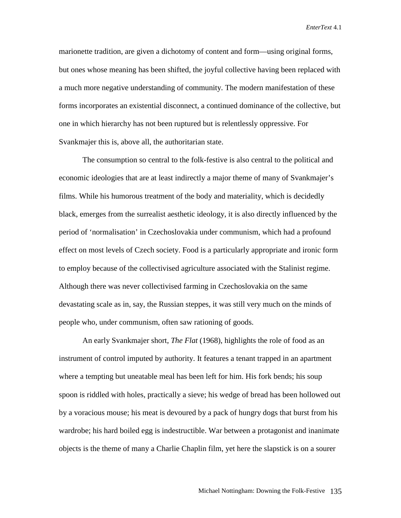marionette tradition, are given a dichotomy of content and form—using original forms, but ones whose meaning has been shifted, the joyful collective having been replaced with a much more negative understanding of community. The modern manifestation of these forms incorporates an existential disconnect, a continued dominance of the collective, but one in which hierarchy has not been ruptured but is relentlessly oppressive. For Svankmajer this is, above all, the authoritarian state.

The consumption so central to the folk-festive is also central to the political and economic ideologies that are at least indirectly a major theme of many of Svankmajer's films. While his humorous treatment of the body and materiality, which is decidedly black, emerges from the surrealist aesthetic ideology, it is also directly influenced by the period of 'normalisation' in Czechoslovakia under communism, which had a profound effect on most levels of Czech society. Food is a particularly appropriate and ironic form to employ because of the collectivised agriculture associated with the Stalinist regime. Although there was never collectivised farming in Czechoslovakia on the same devastating scale as in, say, the Russian steppes, it was still very much on the minds of people who, under communism, often saw rationing of goods.

An early Svankmajer short, *The Flat* (1968), highlights the role of food as an instrument of control imputed by authority. It features a tenant trapped in an apartment where a tempting but uneatable meal has been left for him. His fork bends; his soup spoon is riddled with holes, practically a sieve; his wedge of bread has been hollowed out by a voracious mouse; his meat is devoured by a pack of hungry dogs that burst from his wardrobe; his hard boiled egg is indestructible. War between a protagonist and inanimate objects is the theme of many a Charlie Chaplin film, yet here the slapstick is on a sourer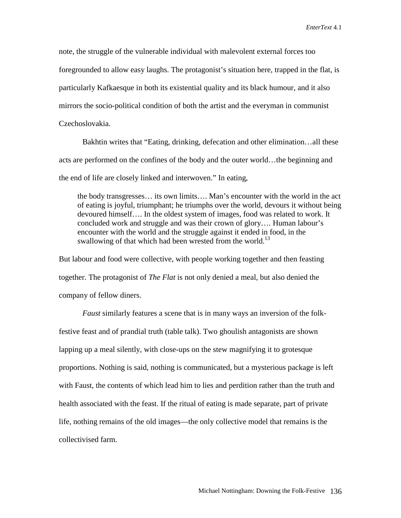note, the struggle of the vulnerable individual with malevolent external forces too foregrounded to allow easy laughs. The protagonist's situation here, trapped in the flat, is particularly Kafkaesque in both its existential quality and its black humour, and it also mirrors the socio-political condition of both the artist and the everyman in communist Czechoslovakia.

Bakhtin writes that "Eating, drinking, defecation and other elimination…all these acts are performed on the confines of the body and the outer world…the beginning and the end of life are closely linked and interwoven." In eating,

the body transgresses… its own limits…. Man's encounter with the world in the act of eating is joyful, triumphant; he triumphs over the world, devours it without being devoured himself…. In the oldest system of images, food was related to work. It concluded work and struggle and was their crown of glory…. Human labour's encounter with the world and the struggle against it ended in food, in the swallowing of that which had been wrested from the world.<sup>13</sup>

But labour and food were collective, with people working together and then feasting together. The protagonist of *The Flat* is not only denied a meal, but also denied the company of fellow diners.

*Faust* similarly features a scene that is in many ways an inversion of the folkfestive feast and of prandial truth (table talk). Two ghoulish antagonists are shown lapping up a meal silently, with close-ups on the stew magnifying it to grotesque proportions. Nothing is said, nothing is communicated, but a mysterious package is left with Faust, the contents of which lead him to lies and perdition rather than the truth and health associated with the feast. If the ritual of eating is made separate, part of private life, nothing remains of the old images—the only collective model that remains is the collectivised farm.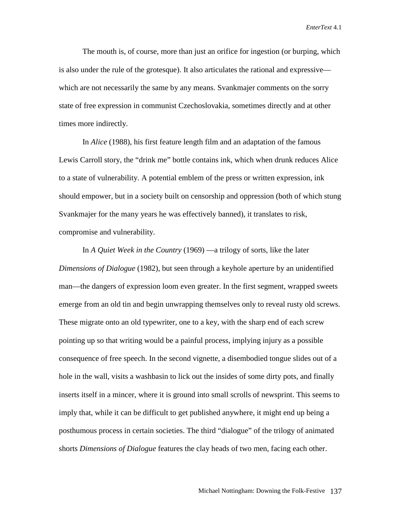The mouth is, of course, more than just an orifice for ingestion (or burping, which is also under the rule of the grotesque). It also articulates the rational and expressive which are not necessarily the same by any means. Svankmajer comments on the sorry state of free expression in communist Czechoslovakia, sometimes directly and at other times more indirectly.

In *Alice* (1988), his first feature length film and an adaptation of the famous Lewis Carroll story, the "drink me" bottle contains ink, which when drunk reduces Alice to a state of vulnerability. A potential emblem of the press or written expression, ink should empower, but in a society built on censorship and oppression (both of which stung Svankmajer for the many years he was effectively banned), it translates to risk, compromise and vulnerability.

 In *A Quiet Week in the Country* (1969) —a trilogy of sorts, like the later *Dimensions of Dialogue* (1982), but seen through a keyhole aperture by an unidentified man—the dangers of expression loom even greater. In the first segment, wrapped sweets emerge from an old tin and begin unwrapping themselves only to reveal rusty old screws. These migrate onto an old typewriter, one to a key, with the sharp end of each screw pointing up so that writing would be a painful process, implying injury as a possible consequence of free speech. In the second vignette, a disembodied tongue slides out of a hole in the wall, visits a washbasin to lick out the insides of some dirty pots, and finally inserts itself in a mincer, where it is ground into small scrolls of newsprint. This seems to imply that, while it can be difficult to get published anywhere, it might end up being a posthumous process in certain societies. The third "dialogue" of the trilogy of animated shorts *Dimensions of Dialogue* features the clay heads of two men, facing each other.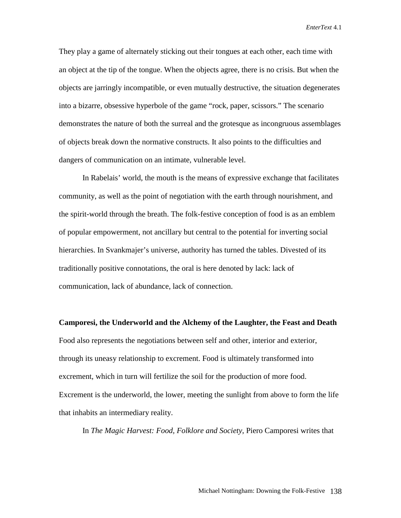They play a game of alternately sticking out their tongues at each other, each time with an object at the tip of the tongue. When the objects agree, there is no crisis. But when the objects are jarringly incompatible, or even mutually destructive, the situation degenerates into a bizarre, obsessive hyperbole of the game "rock, paper, scissors." The scenario demonstrates the nature of both the surreal and the grotesque as incongruous assemblages of objects break down the normative constructs. It also points to the difficulties and dangers of communication on an intimate, vulnerable level.

In Rabelais' world, the mouth is the means of expressive exchange that facilitates community, as well as the point of negotiation with the earth through nourishment, and the spirit-world through the breath. The folk-festive conception of food is as an emblem of popular empowerment, not ancillary but central to the potential for inverting social hierarchies. In Svankmajer's universe, authority has turned the tables. Divested of its traditionally positive connotations, the oral is here denoted by lack: lack of communication, lack of abundance, lack of connection.

**Camporesi, the Underworld and the Alchemy of the Laughter, the Feast and Death**  Food also represents the negotiations between self and other, interior and exterior, through its uneasy relationship to excrement. Food is ultimately transformed into excrement, which in turn will fertilize the soil for the production of more food. Excrement is the underworld, the lower, meeting the sunlight from above to form the life that inhabits an intermediary reality.

In *The Magic Harvest: Food, Folklore and Society*, Piero Camporesi writes that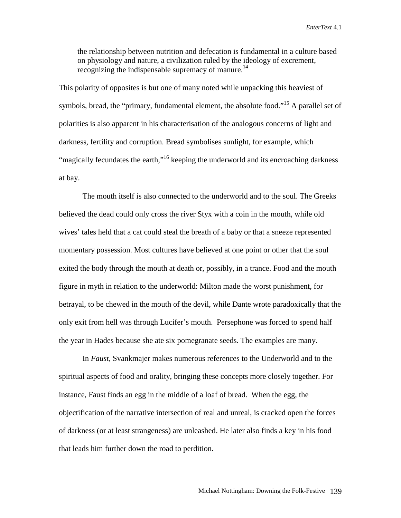the relationship between nutrition and defecation is fundamental in a culture based on physiology and nature, a civilization ruled by the ideology of excrement, recognizing the indispensable supremacy of manure.<sup>14</sup>

This polarity of opposites is but one of many noted while unpacking this heaviest of symbols, bread, the "primary, fundamental element, the absolute food."<sup>15</sup> A parallel set of polarities is also apparent in his characterisation of the analogous concerns of light and darkness, fertility and corruption. Bread symbolises sunlight, for example, which "magically fecundates the earth,"<sup>16</sup> keeping the underworld and its encroaching darkness at bay.

The mouth itself is also connected to the underworld and to the soul. The Greeks believed the dead could only cross the river Styx with a coin in the mouth, while old wives' tales held that a cat could steal the breath of a baby or that a sneeze represented momentary possession. Most cultures have believed at one point or other that the soul exited the body through the mouth at death or, possibly, in a trance. Food and the mouth figure in myth in relation to the underworld: Milton made the worst punishment, for betrayal, to be chewed in the mouth of the devil, while Dante wrote paradoxically that the only exit from hell was through Lucifer's mouth. Persephone was forced to spend half the year in Hades because she ate six pomegranate seeds. The examples are many.

 In *Faust*, Svankmajer makes numerous references to the Underworld and to the spiritual aspects of food and orality, bringing these concepts more closely together. For instance, Faust finds an egg in the middle of a loaf of bread. When the egg, the objectification of the narrative intersection of real and unreal, is cracked open the forces of darkness (or at least strangeness) are unleashed. He later also finds a key in his food that leads him further down the road to perdition.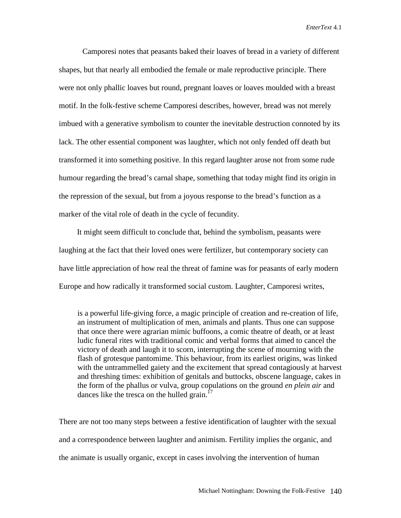Camporesi notes that peasants baked their loaves of bread in a variety of different shapes, but that nearly all embodied the female or male reproductive principle. There were not only phallic loaves but round, pregnant loaves or loaves moulded with a breast motif. In the folk-festive scheme Camporesi describes, however, bread was not merely imbued with a generative symbolism to counter the inevitable destruction connoted by its lack. The other essential component was laughter, which not only fended off death but transformed it into something positive. In this regard laughter arose not from some rude humour regarding the bread's carnal shape, something that today might find its origin in the repression of the sexual, but from a joyous response to the bread's function as a marker of the vital role of death in the cycle of fecundity.

It might seem difficult to conclude that, behind the symbolism, peasants were laughing at the fact that their loved ones were fertilizer, but contemporary society can have little appreciation of how real the threat of famine was for peasants of early modern Europe and how radically it transformed social custom. Laughter, Camporesi writes,

is a powerful life-giving force, a magic principle of creation and re-creation of life, an instrument of multiplication of men, animals and plants. Thus one can suppose that once there were agrarian mimic buffoons, a comic theatre of death, or at least ludic funeral rites with traditional comic and verbal forms that aimed to cancel the victory of death and laugh it to scorn, interrupting the scene of mourning with the flash of grotesque pantomime. This behaviour, from its earliest origins, was linked with the untrammelled gaiety and the excitement that spread contagiously at harvest and threshing times: exhibition of genitals and buttocks, obscene language, cakes in the form of the phallus or vulva, group copulations on the ground *en plein air* and dances like the tresca on the hulled grain.<sup>17</sup>

There are not too many steps between a festive identification of laughter with the sexual and a correspondence between laughter and animism. Fertility implies the organic, and the animate is usually organic, except in cases involving the intervention of human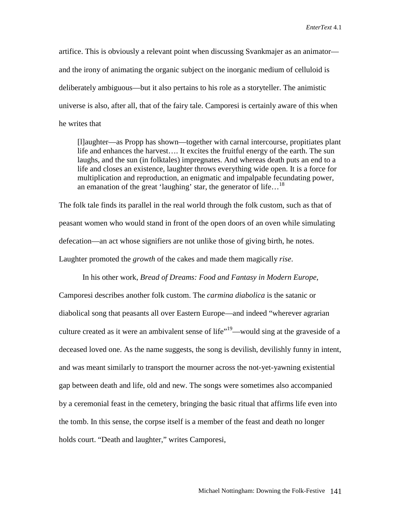artifice. This is obviously a relevant point when discussing Svankmajer as an animator and the irony of animating the organic subject on the inorganic medium of celluloid is deliberately ambiguous—but it also pertains to his role as a storyteller. The animistic universe is also, after all, that of the fairy tale. Camporesi is certainly aware of this when he writes that

[l]aughter—as Propp has shown—together with carnal intercourse, propitiates plant life and enhances the harvest…. It excites the fruitful energy of the earth. The sun laughs, and the sun (in folktales) impregnates. And whereas death puts an end to a life and closes an existence, laughter throws everything wide open. It is a force for multiplication and reproduction, an enigmatic and impalpable fecundating power, an emanation of the great 'laughing' star, the generator of life…<sup>18</sup>

The folk tale finds its parallel in the real world through the folk custom, such as that of peasant women who would stand in front of the open doors of an oven while simulating defecation—an act whose signifiers are not unlike those of giving birth, he notes. Laughter promoted the *growth* of the cakes and made them magically *rise*.

 In his other work, *Bread of Dreams: Food and Fantasy in Modern Europe*, Camporesi describes another folk custom. The *carmina diabolica* is the satanic or diabolical song that peasants all over Eastern Europe—and indeed "wherever agrarian culture created as it were an ambivalent sense of life"<sup>19</sup>—would sing at the graveside of a deceased loved one. As the name suggests, the song is devilish, devilishly funny in intent, and was meant similarly to transport the mourner across the not-yet-yawning existential gap between death and life, old and new. The songs were sometimes also accompanied by a ceremonial feast in the cemetery, bringing the basic ritual that affirms life even into the tomb. In this sense, the corpse itself is a member of the feast and death no longer holds court. "Death and laughter," writes Camporesi,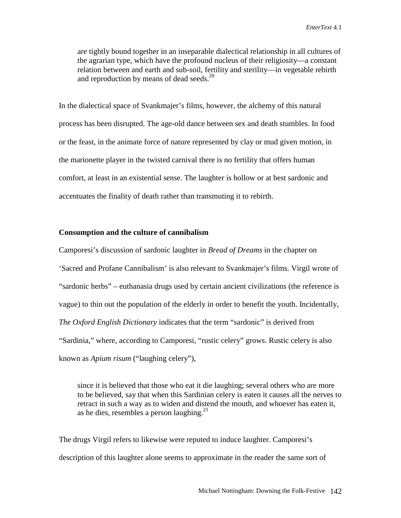are tightly bound together in an inseparable dialectical relationship in all cultures of the agrarian type, which have the profound nucleus of their religiosity—a constant relation between and earth and sub-soil, fertility and sterility—in vegetable rebirth and reproduction by means of dead seeds.<sup>20</sup>

In the dialectical space of Svankmajer's films, however, the alchemy of this natural process has been disrupted. The age-old dance between sex and death stumbles. In food or the feast, in the animate force of nature represented by clay or mud given motion, in the marionette player in the twisted carnival there is no fertility that offers human comfort, at least in an existential sense. The laughter is hollow or at best sardonic and accentuates the finality of death rather than transmuting it to rebirth.

## **Consumption and the culture of cannibalism**

Camporesi's discussion of sardonic laughter in *Bread of Dreams* in the chapter on 'Sacred and Profane Cannibalism' is also relevant to Svankmajer's films. Virgil wrote of "sardonic herbs" – euthanasia drugs used by certain ancient civilizations (the reference is vague) to thin out the population of the elderly in order to benefit the youth. Incidentally, *The Oxford English Dictionary* indicates that the term "sardonic" is derived from "Sardinia," where, according to Camporesi, "rustic celery" grows. Rustic celery is also known as *Apium risum* ("laughing celery"),

since it is believed that those who eat it die laughing; several others who are more to be believed, say that when this Sardinian celery is eaten it causes all the nerves to retract in such a way as to widen and distend the mouth, and whoever has eaten it, as he dies, resembles a person laughing.<sup>21</sup>

The drugs Virgil refers to likewise were reputed to induce laughter. Camporesi's description of this laughter alone seems to approximate in the reader the same sort of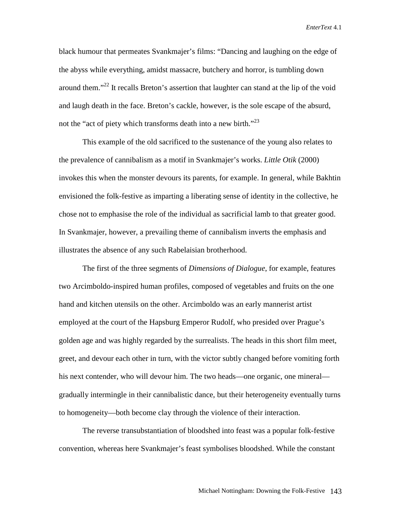black humour that permeates Svankmajer's films: "Dancing and laughing on the edge of the abyss while everything, amidst massacre, butchery and horror, is tumbling down around them."<sup>22</sup> It recalls Breton's assertion that laughter can stand at the lip of the void and laugh death in the face. Breton's cackle, however, is the sole escape of the absurd, not the "act of piety which transforms death into a new birth."<sup>23</sup>

 This example of the old sacrificed to the sustenance of the young also relates to the prevalence of cannibalism as a motif in Svankmajer's works. *Little Otik* (2000) invokes this when the monster devours its parents, for example. In general, while Bakhtin envisioned the folk-festive as imparting a liberating sense of identity in the collective, he chose not to emphasise the role of the individual as sacrificial lamb to that greater good. In Svankmajer, however, a prevailing theme of cannibalism inverts the emphasis and illustrates the absence of any such Rabelaisian brotherhood.

The first of the three segments of *Dimensions of Dialogue*, for example, features two Arcimboldo-inspired human profiles, composed of vegetables and fruits on the one hand and kitchen utensils on the other. Arcimboldo was an early mannerist artist employed at the court of the Hapsburg Emperor Rudolf, who presided over Prague's golden age and was highly regarded by the surrealists. The heads in this short film meet, greet, and devour each other in turn, with the victor subtly changed before vomiting forth his next contender, who will devour him. The two heads—one organic, one mineral gradually intermingle in their cannibalistic dance, but their heterogeneity eventually turns to homogeneity—both become clay through the violence of their interaction.

The reverse transubstantiation of bloodshed into feast was a popular folk-festive convention, whereas here Svankmajer's feast symbolises bloodshed. While the constant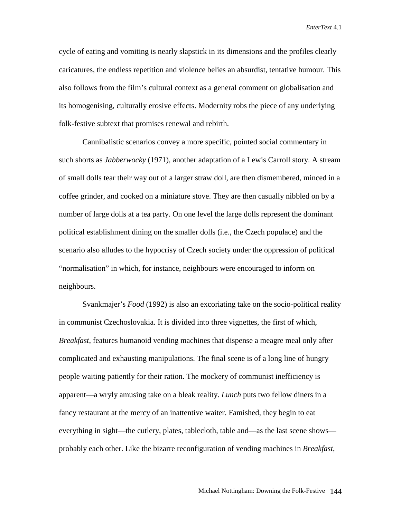cycle of eating and vomiting is nearly slapstick in its dimensions and the profiles clearly caricatures, the endless repetition and violence belies an absurdist, tentative humour. This also follows from the film's cultural context as a general comment on globalisation and its homogenising, culturally erosive effects. Modernity robs the piece of any underlying folk-festive subtext that promises renewal and rebirth.

Cannibalistic scenarios convey a more specific, pointed social commentary in such shorts as *Jabberwocky* (1971), another adaptation of a Lewis Carroll story. A stream of small dolls tear their way out of a larger straw doll, are then dismembered, minced in a coffee grinder, and cooked on a miniature stove. They are then casually nibbled on by a number of large dolls at a tea party. On one level the large dolls represent the dominant political establishment dining on the smaller dolls (i.e., the Czech populace) and the scenario also alludes to the hypocrisy of Czech society under the oppression of political "normalisation" in which, for instance, neighbours were encouraged to inform on neighbours.

 Svankmajer's *Food* (1992) is also an excoriating take on the socio-political reality in communist Czechoslovakia. It is divided into three vignettes, the first of which, *Breakfast*, features humanoid vending machines that dispense a meagre meal only after complicated and exhausting manipulations. The final scene is of a long line of hungry people waiting patiently for their ration. The mockery of communist inefficiency is apparent—a wryly amusing take on a bleak reality. *Lunch* puts two fellow diners in a fancy restaurant at the mercy of an inattentive waiter. Famished, they begin to eat everything in sight—the cutlery, plates, tablecloth, table and—as the last scene shows probably each other. Like the bizarre reconfiguration of vending machines in *Breakfast*,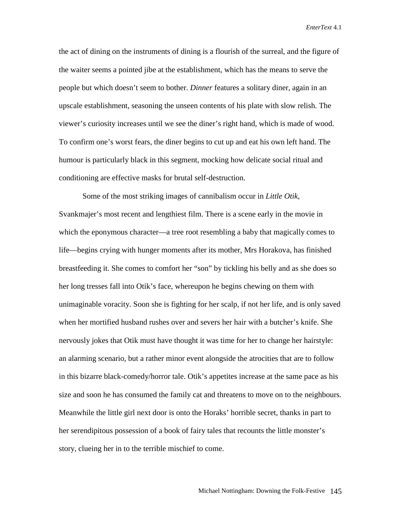the act of dining on the instruments of dining is a flourish of the surreal, and the figure of the waiter seems a pointed jibe at the establishment, which has the means to serve the people but which doesn't seem to bother. *Dinner* features a solitary diner, again in an upscale establishment, seasoning the unseen contents of his plate with slow relish. The viewer's curiosity increases until we see the diner's right hand, which is made of wood. To confirm one's worst fears, the diner begins to cut up and eat his own left hand. The humour is particularly black in this segment, mocking how delicate social ritual and conditioning are effective masks for brutal self-destruction.

 Some of the most striking images of cannibalism occur in *Little Otik*, Svankmajer's most recent and lengthiest film. There is a scene early in the movie in which the eponymous character—a tree root resembling a baby that magically comes to life—begins crying with hunger moments after its mother, Mrs Horakova, has finished breastfeeding it. She comes to comfort her "son" by tickling his belly and as she does so her long tresses fall into Otik's face, whereupon he begins chewing on them with unimaginable voracity. Soon she is fighting for her scalp, if not her life, and is only saved when her mortified husband rushes over and severs her hair with a butcher's knife. She nervously jokes that Otik must have thought it was time for her to change her hairstyle: an alarming scenario, but a rather minor event alongside the atrocities that are to follow in this bizarre black-comedy/horror tale. Otik's appetites increase at the same pace as his size and soon he has consumed the family cat and threatens to move on to the neighbours. Meanwhile the little girl next door is onto the Horaks' horrible secret, thanks in part to her serendipitous possession of a book of fairy tales that recounts the little monster's story, clueing her in to the terrible mischief to come.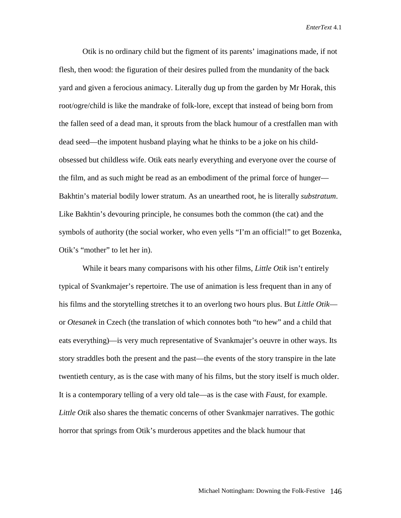Otik is no ordinary child but the figment of its parents' imaginations made, if not flesh, then wood: the figuration of their desires pulled from the mundanity of the back yard and given a ferocious animacy. Literally dug up from the garden by Mr Horak, this root/ogre/child is like the mandrake of folk-lore, except that instead of being born from the fallen seed of a dead man, it sprouts from the black humour of a crestfallen man with dead seed—the impotent husband playing what he thinks to be a joke on his childobsessed but childless wife. Otik eats nearly everything and everyone over the course of the film, and as such might be read as an embodiment of the primal force of hunger— Bakhtin's material bodily lower stratum. As an unearthed root, he is literally *substratum*. Like Bakhtin's devouring principle, he consumes both the common (the cat) and the symbols of authority (the social worker, who even yells "I'm an official!" to get Bozenka, Otik's "mother" to let her in).

 While it bears many comparisons with his other films, *Little Otik* isn't entirely typical of Svankmajer's repertoire. The use of animation is less frequent than in any of his films and the storytelling stretches it to an overlong two hours plus. But *Little Otik* or *Otesanek* in Czech (the translation of which connotes both "to hew" and a child that eats everything)—is very much representative of Svankmajer's oeuvre in other ways. Its story straddles both the present and the past—the events of the story transpire in the late twentieth century, as is the case with many of his films, but the story itself is much older. It is a contemporary telling of a very old tale—as is the case with *Faust*, for example. *Little Otik* also shares the thematic concerns of other Svankmajer narratives. The gothic horror that springs from Otik's murderous appetites and the black humour that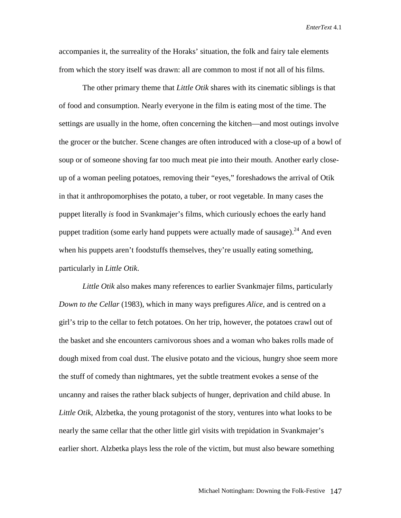accompanies it, the surreality of the Horaks' situation, the folk and fairy tale elements from which the story itself was drawn: all are common to most if not all of his films.

The other primary theme that *Little Otik* shares with its cinematic siblings is that of food and consumption. Nearly everyone in the film is eating most of the time. The settings are usually in the home, often concerning the kitchen—and most outings involve the grocer or the butcher. Scene changes are often introduced with a close-up of a bowl of soup or of someone shoving far too much meat pie into their mouth. Another early closeup of a woman peeling potatoes, removing their "eyes," foreshadows the arrival of Otik in that it anthropomorphises the potato, a tuber, or root vegetable. In many cases the puppet literally *is* food in Svankmajer's films, which curiously echoes the early hand puppet tradition (some early hand puppets were actually made of sausage).<sup>24</sup> And even when his puppets aren't foodstuffs themselves, they're usually eating something, particularly in *Little Otik*.

*Little Otik* also makes many references to earlier Svankmajer films, particularly *Down to the Cellar* (1983), which in many ways prefigures *Alice,* and is centred on a girl's trip to the cellar to fetch potatoes. On her trip, however, the potatoes crawl out of the basket and she encounters carnivorous shoes and a woman who bakes rolls made of dough mixed from coal dust. The elusive potato and the vicious, hungry shoe seem more the stuff of comedy than nightmares, yet the subtle treatment evokes a sense of the uncanny and raises the rather black subjects of hunger, deprivation and child abuse. In *Little Otik*, Alzbetka, the young protagonist of the story, ventures into what looks to be nearly the same cellar that the other little girl visits with trepidation in Svankmajer's earlier short. Alzbetka plays less the role of the victim, but must also beware something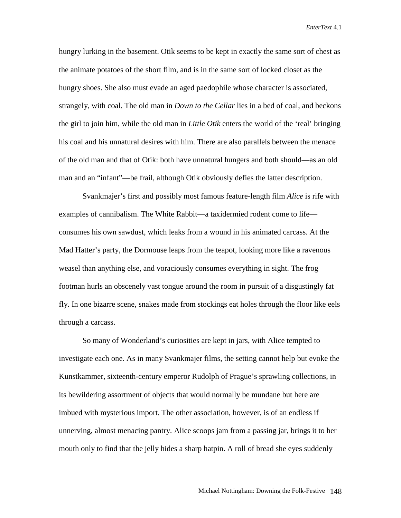hungry lurking in the basement. Otik seems to be kept in exactly the same sort of chest as the animate potatoes of the short film, and is in the same sort of locked closet as the hungry shoes. She also must evade an aged paedophile whose character is associated, strangely, with coal. The old man in *Down to the Cellar* lies in a bed of coal, and beckons the girl to join him, while the old man in *Little Otik* enters the world of the 'real' bringing his coal and his unnatural desires with him. There are also parallels between the menace of the old man and that of Otik: both have unnatural hungers and both should—as an old man and an "infant"—be frail, although Otik obviously defies the latter description.

Svankmajer's first and possibly most famous feature-length film *Alice* is rife with examples of cannibalism. The White Rabbit—a taxidermied rodent come to life consumes his own sawdust, which leaks from a wound in his animated carcass. At the Mad Hatter's party, the Dormouse leaps from the teapot, looking more like a ravenous weasel than anything else, and voraciously consumes everything in sight. The frog footman hurls an obscenely vast tongue around the room in pursuit of a disgustingly fat fly. In one bizarre scene, snakes made from stockings eat holes through the floor like eels through a carcass.

So many of Wonderland's curiosities are kept in jars, with Alice tempted to investigate each one. As in many Svankmajer films, the setting cannot help but evoke the Kunstkammer, sixteenth-century emperor Rudolph of Prague's sprawling collections, in its bewildering assortment of objects that would normally be mundane but here are imbued with mysterious import. The other association, however, is of an endless if unnerving, almost menacing pantry. Alice scoops jam from a passing jar, brings it to her mouth only to find that the jelly hides a sharp hatpin. A roll of bread she eyes suddenly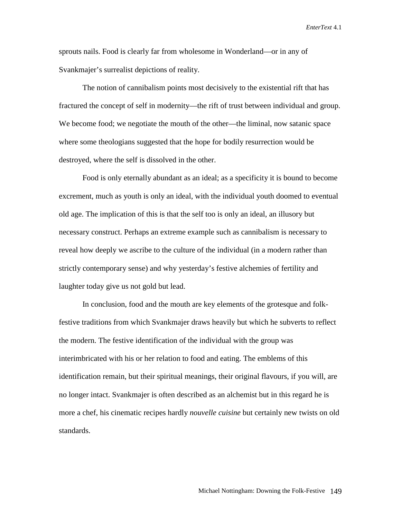sprouts nails. Food is clearly far from wholesome in Wonderland—or in any of Svankmajer's surrealist depictions of reality.

The notion of cannibalism points most decisively to the existential rift that has fractured the concept of self in modernity—the rift of trust between individual and group. We become food; we negotiate the mouth of the other—the liminal, now satanic space where some theologians suggested that the hope for bodily resurrection would be destroyed, where the self is dissolved in the other.

Food is only eternally abundant as an ideal; as a specificity it is bound to become excrement, much as youth is only an ideal, with the individual youth doomed to eventual old age. The implication of this is that the self too is only an ideal, an illusory but necessary construct. Perhaps an extreme example such as cannibalism is necessary to reveal how deeply we ascribe to the culture of the individual (in a modern rather than strictly contemporary sense) and why yesterday's festive alchemies of fertility and laughter today give us not gold but lead.

In conclusion, food and the mouth are key elements of the grotesque and folkfestive traditions from which Svankmajer draws heavily but which he subverts to reflect the modern. The festive identification of the individual with the group was interimbricated with his or her relation to food and eating. The emblems of this identification remain, but their spiritual meanings, their original flavours, if you will, are no longer intact. Svankmajer is often described as an alchemist but in this regard he is more a chef, his cinematic recipes hardly *nouvelle cuisine* but certainly new twists on old standards.